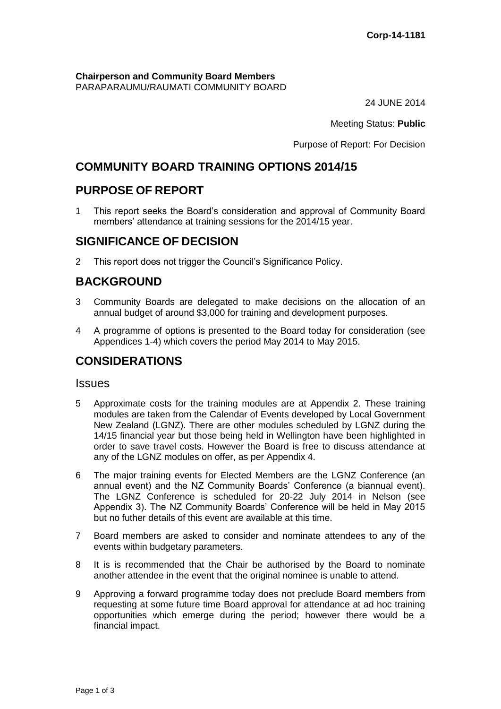#### **Chairperson and Community Board Members** PARAPARAUMU/RAUMATI COMMUNITY BOARD

24 JUNE 2014

Meeting Status: **Public**

Purpose of Report: For Decision

# **COMMUNITY BOARD TRAINING OPTIONS 2014/15**

# **PURPOSE OF REPORT**

1 This report seeks the Board's consideration and approval of Community Board members' attendance at training sessions for the 2014/15 year.

# **SIGNIFICANCE OF DECISION**

2 This report does not trigger the Council's Significance Policy.

# **BACKGROUND**

- 3 Community Boards are delegated to make decisions on the allocation of an annual budget of around \$3,000 for training and development purposes.
- 4 A programme of options is presented to the Board today for consideration (see Appendices 1-4) which covers the period May 2014 to May 2015.

## **CONSIDERATIONS**

#### **Issues**

- 5 Approximate costs for the training modules are at Appendix 2. These training modules are taken from the Calendar of Events developed by Local Government New Zealand (LGNZ). There are other modules scheduled by LGNZ during the 14/15 financial year but those being held in Wellington have been highlighted in order to save travel costs. However the Board is free to discuss attendance at any of the LGNZ modules on offer, as per Appendix 4.
- 6 The major training events for Elected Members are the LGNZ Conference (an annual event) and the NZ Community Boards' Conference (a biannual event). The LGNZ Conference is scheduled for 20-22 July 2014 in Nelson (see Appendix 3). The NZ Community Boards' Conference will be held in May 2015 but no futher details of this event are available at this time.
- 7 Board members are asked to consider and nominate attendees to any of the events within budgetary parameters.
- 8 It is is recommended that the Chair be authorised by the Board to nominate another attendee in the event that the original nominee is unable to attend.
- 9 Approving a forward programme today does not preclude Board members from requesting at some future time Board approval for attendance at ad hoc training opportunities which emerge during the period; however there would be a financial impact.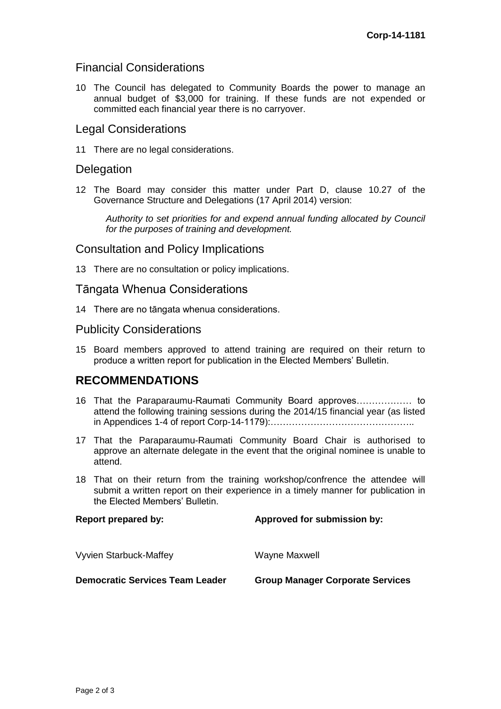### Financial Considerations

10 The Council has delegated to Community Boards the power to manage an annual budget of \$3,000 for training. If these funds are not expended or committed each financial year there is no carryover.

### Legal Considerations

11 There are no legal considerations.

### **Delegation**

12 The Board may consider this matter under Part D, clause 10.27 of the Governance Structure and Delegations (17 April 2014) version:

*Authority to set priorities for and expend annual funding allocated by Council for the purposes of training and development.*

#### Consultation and Policy Implications

13 There are no consultation or policy implications.

### Tāngata Whenua Considerations

14 There are no tāngata whenua considerations.

#### Publicity Considerations

15 Board members approved to attend training are required on their return to produce a written report for publication in the Elected Members' Bulletin.

### **RECOMMENDATIONS**

- 16 That the Paraparaumu-Raumati Community Board approves……………… to attend the following training sessions during the 2014/15 financial year (as listed in Appendices 1-4 of report Corp-14-1179):………………………………………..
- 17 That the Paraparaumu-Raumati Community Board Chair is authorised to approve an alternate delegate in the event that the original nominee is unable to attend.
- 18 That on their return from the training workshop/confrence the attendee will submit a written report on their experience in a timely manner for publication in the Elected Members' Bulletin.

**Report prepared by: Approved for submission by:** Vyvien Starbuck-Maffey Wayne Maxwell **Democratic Services Team Leader Group Manager Corporate Services**